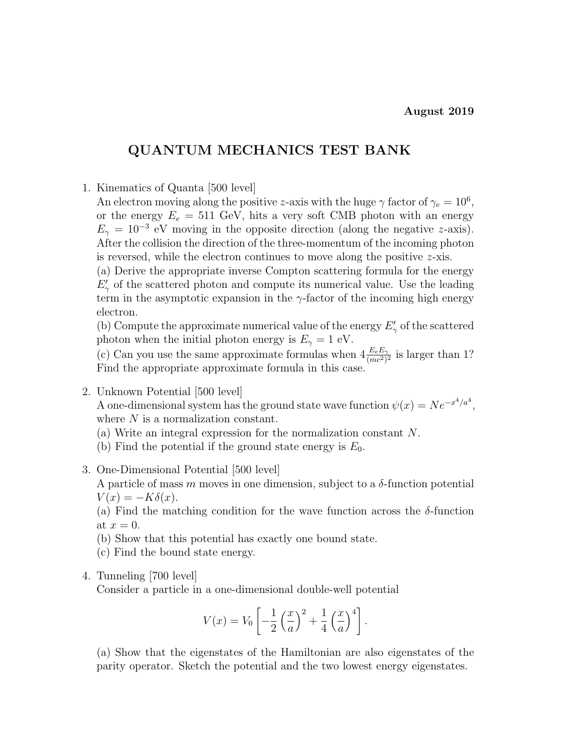# QUANTUM MECHANICS TEST BANK

1. Kinematics of Quanta [500 level]

An electron moving along the positive z-axis with the huge  $\gamma$  factor of  $\gamma_e = 10^6$ , or the energy  $E_e = 511$  GeV, hits a very soft CMB photon with an energy  $E_{\gamma} = 10^{-3}$  eV moving in the opposite direction (along the negative z-axis). After the collision the direction of the three-momentum of the incoming photon is reversed, while the electron continues to move along the positive z-xis.

(a) Derive the appropriate inverse Compton scattering formula for the energy  $E'_{\gamma}$  of the scattered photon and compute its numerical value. Use the leading term in the asymptotic expansion in the  $\gamma$ -factor of the incoming high energy electron.

(b) Compute the approximate numerical value of the energy  $E'_{\gamma}$  of the scattered photon when the initial photon energy is  $E_{\gamma} = 1$  eV.

(c) Can you use the same approximate formulas when  $4 \frac{E_e E_\gamma}{(mc^2)^2}$  is larger than 1? Find the appropriate approximate formula in this case.

2. Unknown Potential [500 level]

A one-dimensional system has the ground state wave function  $\psi(x) = N e^{-x^4/a^4}$ , where  $N$  is a normalization constant.

(a) Write an integral expression for the normalization constant N.

- (b) Find the potential if the ground state energy is  $E_0$ .
- 3. One-Dimensional Potential [500 level]

A particle of mass m moves in one dimension, subject to a  $\delta$ -function potential  $V(x) = -K\delta(x).$ 

(a) Find the matching condition for the wave function across the  $\delta$ -function at  $x=0$ .

(b) Show that this potential has exactly one bound state.

- (c) Find the bound state energy.
- 4. Tunneling [700 level]

Consider a particle in a one-dimensional double-well potential

$$
V(x) = V_0 \left[ -\frac{1}{2} \left( \frac{x}{a} \right)^2 + \frac{1}{4} \left( \frac{x}{a} \right)^4 \right].
$$

(a) Show that the eigenstates of the Hamiltonian are also eigenstates of the parity operator. Sketch the potential and the two lowest energy eigenstates.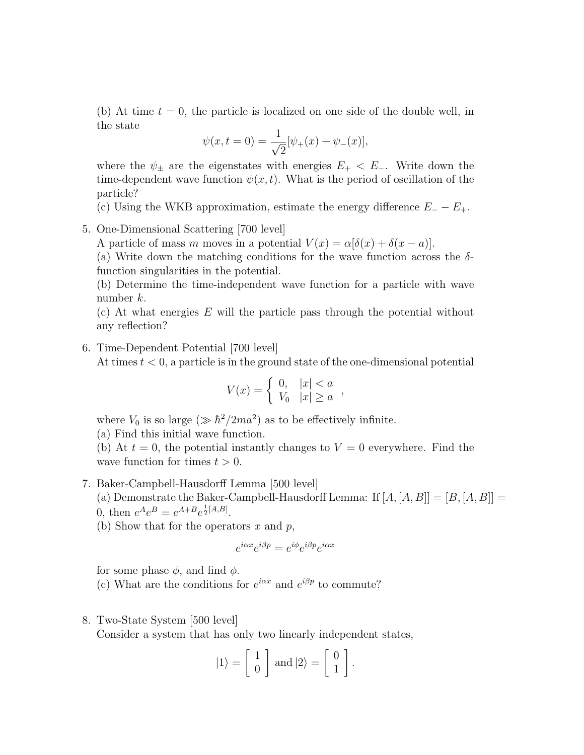(b) At time  $t = 0$ , the particle is localized on one side of the double well, in the state

$$
\psi(x, t = 0) = \frac{1}{\sqrt{2}} [\psi_{+}(x) + \psi_{-}(x)],
$$

where the  $\psi_{\pm}$  are the eigenstates with energies  $E_{+} < E_{-}$ . Write down the time-dependent wave function  $\psi(x, t)$ . What is the period of oscillation of the particle?

(c) Using the WKB approximation, estimate the energy difference  $E_ - - E_+$ .

5. One-Dimensional Scattering [700 level]

A particle of mass m moves in a potential  $V(x) = \alpha[\delta(x) + \delta(x - a)].$ 

(a) Write down the matching conditions for the wave function across the  $\delta$ function singularities in the potential.

(b) Determine the time-independent wave function for a particle with wave number k.

(c) At what energies  $E$  will the particle pass through the potential without any reflection?

#### 6. Time-Dependent Potential [700 level]

At times  $t < 0$ , a particle is in the ground state of the one-dimensional potential

$$
V(x) = \begin{cases} 0, & |x| < a \\ V_0 & |x| \ge a \end{cases}
$$

where  $V_0$  is so large  $(\gg \hbar^2/2ma^2)$  as to be effectively infinite.

(a) Find this initial wave function.

(b) At  $t = 0$ , the potential instantly changes to  $V = 0$  everywhere. Find the wave function for times  $t > 0$ .

7. Baker-Campbell-Hausdorff Lemma [500 level]

(a) Demonstrate the Baker-Campbell-Hausdorff Lemma: If  $[A, [A, B]] = [B, [A, B]] =$ 0, then  $e^{A}e^{B} = e^{A+B}e^{\frac{1}{2}[A,B]}$ .

(b) Show that for the operators  $x$  and  $p$ ,

$$
e^{i\alpha x}e^{i\beta p} = e^{i\phi}e^{i\beta p}e^{i\alpha x}
$$

for some phase  $\phi$ , and find  $\phi$ .

(c) What are the conditions for  $e^{i\alpha x}$  and  $e^{i\beta p}$  to commute?

#### 8. Two-State System [500 level]

Consider a system that has only two linearly independent states,

$$
|1\rangle = \left[\begin{array}{c} 1 \\ 0 \end{array}\right] \text{ and } |2\rangle = \left[\begin{array}{c} 0 \\ 1 \end{array}\right].
$$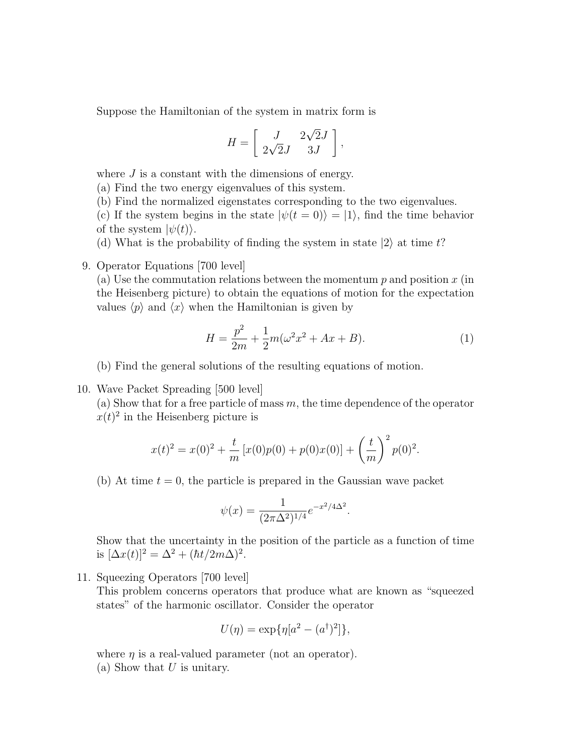Suppose the Hamiltonian of the system in matrix form is

$$
H = \left[ \begin{array}{cc} J & 2\sqrt{2}J \\ 2\sqrt{2}J & 3J \end{array} \right],
$$

where  $J$  is a constant with the dimensions of energy.

(a) Find the two energy eigenvalues of this system.

(b) Find the normalized eigenstates corresponding to the two eigenvalues.

(c) If the system begins in the state  $|\psi(t = 0)\rangle = |1\rangle$ , find the time behavior of the system  $|\psi(t)\rangle$ .

(d) What is the probability of finding the system in state  $|2\rangle$  at time t?

#### 9. Operator Equations [700 level]

(a) Use the commutation relations between the momentum  $p$  and position  $x$  (in the Heisenberg picture) to obtain the equations of motion for the expectation values  $\langle p \rangle$  and  $\langle x \rangle$  when the Hamiltonian is given by

$$
H = \frac{p^2}{2m} + \frac{1}{2}m(\omega^2 x^2 + Ax + B). \tag{1}
$$

.

(b) Find the general solutions of the resulting equations of motion.

10. Wave Packet Spreading [500 level]

(a) Show that for a free particle of mass  $m$ , the time dependence of the operator  $x(t)^2$  in the Heisenberg picture is

$$
x(t)^{2} = x(0)^{2} + \frac{t}{m} [x(0)p(0) + p(0)x(0)] + \left(\frac{t}{m}\right)^{2} p(0)^{2}.
$$

(b) At time  $t = 0$ , the particle is prepared in the Gaussian wave packet

$$
\psi(x) = \frac{1}{(2\pi\Delta^2)^{1/4}} e^{-x^2/4\Delta^2}
$$

Show that the uncertainty in the position of the particle as a function of time is  $[\Delta x(t)]^2 = \Delta^2 + (\hbar t/2m\Delta)^2$ .

11. Squeezing Operators [700 level]

This problem concerns operators that produce what are known as "squeezed states" of the harmonic oscillator. Consider the operator

$$
U(\eta) = \exp{\{\eta[a^2 - (a^{\dagger})^2]\}},
$$

where  $\eta$  is a real-valued parameter (not an operator). (a) Show that  $U$  is unitary.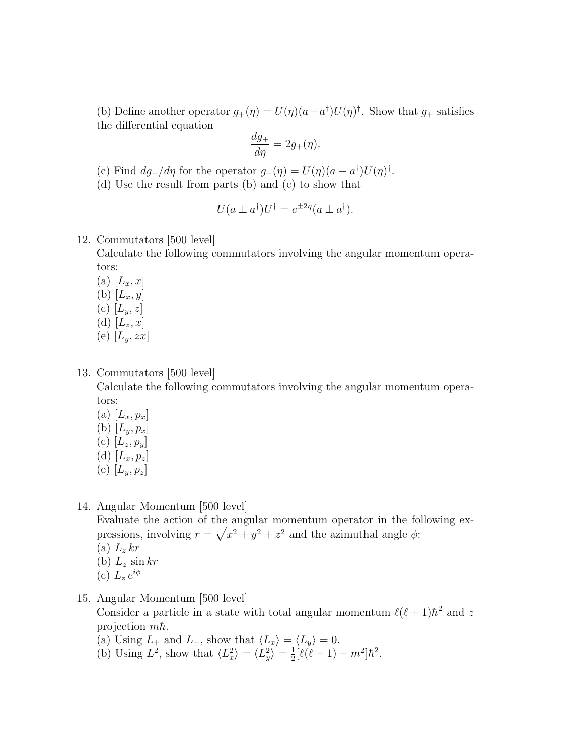(b) Define another operator  $g_+(\eta) = U(\eta)(a + a^{\dagger})U(\eta)^{\dagger}$ . Show that  $g_+$  satisfies the differential equation

$$
\frac{dg_+}{d\eta} = 2g_+(\eta).
$$

(c) Find  $dg_-/d\eta$  for the operator  $g_-(\eta) = U(\eta)(a - a^{\dagger})U(\eta)^{\dagger}$ .

(d) Use the result from parts (b) and (c) to show that

$$
U(a \pm a^{\dagger})U^{\dagger} = e^{\pm 2\eta}(a \pm a^{\dagger}).
$$

#### 12. Commutators [500 level]

Calculate the following commutators involving the angular momentum operators:

- (a)  $[L_x, x]$ (b)  $[L_x, y]$ (c)  $[L_y, z]$ (d)  $[L_z, x]$
- (e)  $[L_y, zx]$

## 13. Commutators [500 level]

Calculate the following commutators involving the angular momentum operators:

- (a)  $[L_x, p_x]$
- (b)  $[L_y, p_x]$
- (c)  $[L_z, p_y]$
- (d)  $[L_x, p_z]$
- (e)  $[L_y, p_z]$
- 14. Angular Momentum [500 level]

Evaluate the action of the angular momentum operator in the following expressions, involving  $r = \sqrt{x^2 + y^2 + z^2}$  and the azimuthal angle  $\phi$ :

- (a)  $L_z$  kr
- (b)  $L_z \sin kr$
- (c)  $L_z e^{i\phi}$
- 15. Angular Momentum [500 level]

Consider a particle in a state with total angular momentum  $\ell(\ell+1)\hbar^2$  and z projection  $m\hbar$ .

- (a) Using  $L_+$  and  $L_-$ , show that  $\langle L_x \rangle = \langle L_y \rangle = 0$ .
- (b) Using  $L^2$ , show that  $\langle L_x^2 \rangle = \langle L_y^2 \rangle = \frac{1}{2}$  $\frac{1}{2}[\ell(\ell+1)-m^2]\hbar^2$ .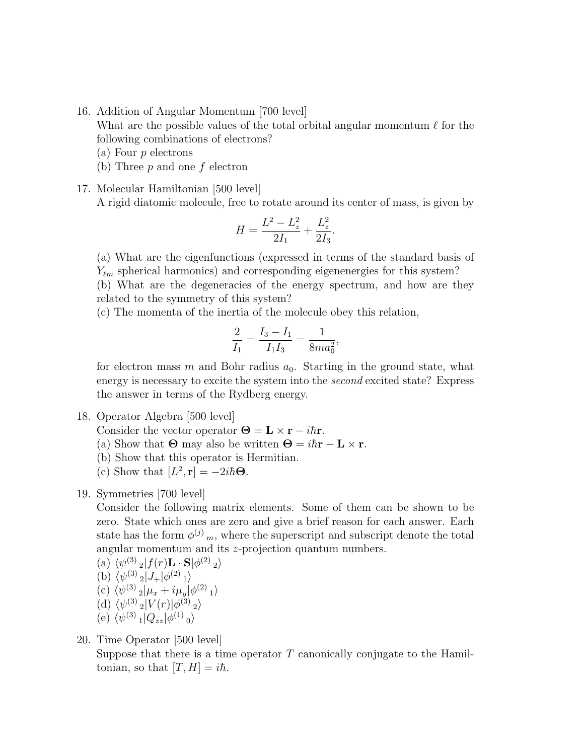16. Addition of Angular Momentum [700 level]

What are the possible values of the total orbital angular momentum  $\ell$  for the following combinations of electrons?

- (a) Four p electrons
- (b) Three  $p$  and one  $f$  electron

17. Molecular Hamiltonian [500 level]

A rigid diatomic molecule, free to rotate around its center of mass, is given by

$$
H = \frac{L^2 - L_z^2}{2I_1} + \frac{L_z^2}{2I_3}.
$$

(a) What are the eigenfunctions (expressed in terms of the standard basis of  $Y_{\ell m}$  spherical harmonics) and corresponding eigenenergies for this system? (b) What are the degeneracies of the energy spectrum, and how are they related to the symmetry of this system?

(c) The momenta of the inertia of the molecule obey this relation,

$$
\frac{2}{I_1} = \frac{I_3 - I_1}{I_1 I_3} = \frac{1}{8m a_0^2},
$$

for electron mass m and Bohr radius  $a_0$ . Starting in the ground state, what energy is necessary to excite the system into the second excited state? Express the answer in terms of the Rydberg energy.

- 18. Operator Algebra [500 level]
	- Consider the vector operator  $\Theta = \mathbf{L} \times \mathbf{r} i\hbar \mathbf{r}$ .
	- (a) Show that  $\Theta$  may also be written  $\Theta = i\hbar \mathbf{r} \mathbf{L} \times \mathbf{r}$ .
	- (b) Show that this operator is Hermitian.
	- (c) Show that  $[L^2, \mathbf{r}] = -2i\hbar\Theta$ .
- 19. Symmetries [700 level]

Consider the following matrix elements. Some of them can be shown to be zero. State which ones are zero and give a brief reason for each answer. Each state has the form  $\phi^{(j)}$ <sub>m</sub>, where the superscript and subscript denote the total angular momentum and its z-projection quantum numbers.

(a) 
$$
\langle \psi^{(3)} \rangle_2 |f(r) \mathbf{L} \cdot \mathbf{S} | \phi^{(2)} \rangle_2 \rangle
$$
  
\n(b)  $\langle \psi^{(3)} \rangle_2 |J_+| \phi^{(2)} \rangle_1 \rangle$   
\n(c)  $\langle \psi^{(3)} \rangle_2 | \mu_x + i \mu_y | \phi^{(2)} \rangle_1 \rangle$   
\n(d)  $\langle \psi^{(3)} \rangle_2 | V(r) | \phi^{(3)} \rangle_2 \rangle$ 

(e)  $\langle \psi^{(3)}_1 | Q_{zz} | \phi^{(1)}_0 \rangle$ 

# 20. Time Operator [500 level]

Suppose that there is a time operator  $T$  canonically conjugate to the Hamiltonian, so that  $[T, H] = i\hbar$ .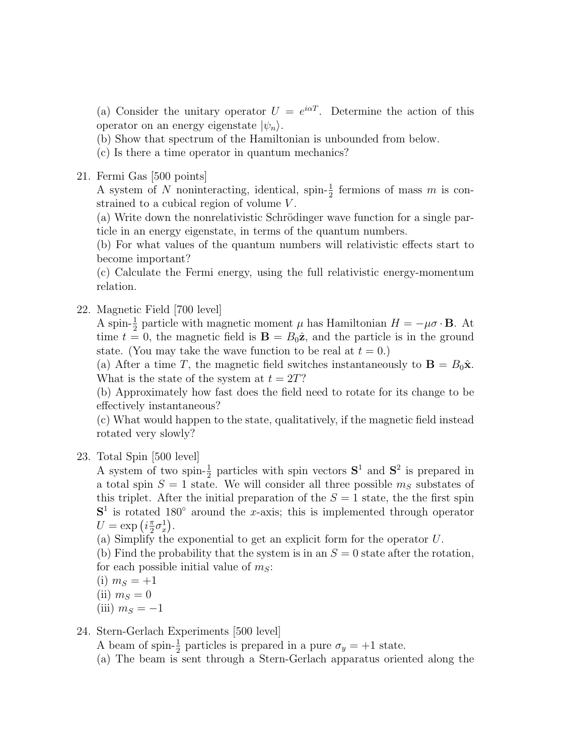(a) Consider the unitary operator  $U = e^{i\alpha T}$ . Determine the action of this operator on an energy eigenstate  $|\psi_n\rangle$ .

(b) Show that spectrum of the Hamiltonian is unbounded from below.

- (c) Is there a time operator in quantum mechanics?
- 21. Fermi Gas [500 points]

A system of N noninteracting, identical, spin- $\frac{1}{2}$  fermions of mass m is constrained to a cubical region of volume V.

(a) Write down the nonrelativistic Schrödinger wave function for a single particle in an energy eigenstate, in terms of the quantum numbers.

(b) For what values of the quantum numbers will relativistic effects start to become important?

(c) Calculate the Fermi energy, using the full relativistic energy-momentum relation.

22. Magnetic Field [700 level]

A spin- $\frac{1}{2}$  particle with magnetic moment  $\mu$  has Hamiltonian  $H = -\mu \sigma \cdot \mathbf{B}$ . At time  $t = 0$ , the magnetic field is  $\mathbf{B} = B_0 \hat{\mathbf{z}}$ , and the particle is in the ground state. (You may take the wave function to be real at  $t = 0$ .)

(a) After a time T, the magnetic field switches instantaneously to  $\mathbf{B} = B_0 \hat{\mathbf{x}}$ . What is the state of the system at  $t = 2T$ ?

(b) Approximately how fast does the field need to rotate for its change to be effectively instantaneous?

(c) What would happen to the state, qualitatively, if the magnetic field instead rotated very slowly?

23. Total Spin [500 level]

A system of two spin- $\frac{1}{2}$  particles with spin vectors  $S^1$  and  $S^2$  is prepared in a total spin  $S = 1$  state. We will consider all three possible  $m<sub>S</sub>$  substates of this triplet. After the initial preparation of the  $S = 1$  state, the the first spin  $S<sup>1</sup>$  is rotated 180 $^{\circ}$  around the x-axis; this is implemented through operator  $U = \exp\left(i\frac{\pi}{2}\right)$  $\frac{\pi}{2}\sigma_x^1$ .

(a) Simplify the exponential to get an explicit form for the operator U.

(b) Find the probability that the system is in an  $S = 0$  state after the rotation, for each possible initial value of  $m<sub>S</sub>$ :

(i)  $m_S = +1$ 

- (ii)  $m<sub>S</sub> = 0$
- (iii)  $m<sub>S</sub> = -1$

#### 24. Stern-Gerlach Experiments [500 level]

A beam of spin- $\frac{1}{2}$  particles is prepared in a pure  $\sigma_y = +1$  state.

(a) The beam is sent through a Stern-Gerlach apparatus oriented along the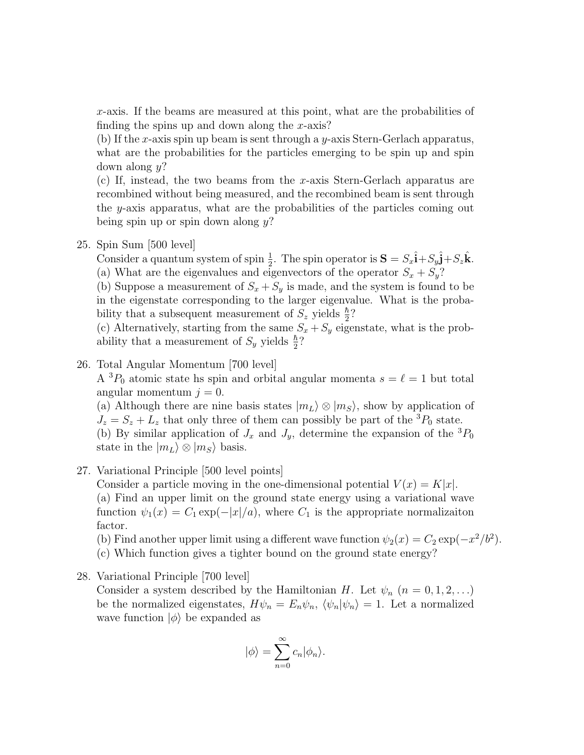x-axis. If the beams are measured at this point, what are the probabilities of finding the spins up and down along the  $x$ -axis?

(b) If the x-axis spin up beam is sent through a y-axis Stern-Gerlach apparatus, what are the probabilities for the particles emerging to be spin up and spin down along  $y$ ?

(c) If, instead, the two beams from the x-axis Stern-Gerlach apparatus are recombined without being measured, and the recombined beam is sent through the  $y$ -axis apparatus, what are the probabilities of the particles coming out being spin up or spin down along  $y$ ?

25. Spin Sum [500 level]

Consider a quantum system of spin  $\frac{1}{2}$ . The spin operator is  $\mathbf{S} = S_x \hat{\mathbf{i}} + S_y \hat{\mathbf{j}} + S_z \hat{\mathbf{k}}$ . (a) What are the eigenvalues and eigenvectors of the operator  $S_x + S_y$ ?

(b) Suppose a measurement of  $S_x + S_y$  is made, and the system is found to be in the eigenstate corresponding to the larger eigenvalue. What is the probability that a subsequent measurement of  $S_z$  yields  $\frac{\hbar}{2}$ ?

(c) Alternatively, starting from the same  $S_x + S_y$  eigenstate, what is the probability that a measurement of  $S_y$  yields  $\frac{\hbar}{2}$ ?

# 26. Total Angular Momentum [700 level]

A  ${}^{3}P_{0}$  atomic state hs spin and orbital angular momenta  $s = \ell = 1$  but total angular momentum  $j = 0$ .

(a) Although there are nine basis states  $|m_L\rangle \otimes |m_S\rangle$ , show by application of  $J_z = S_z + L_z$  that only three of them can possibly be part of the <sup>3</sup> $P_0$  state. (b) By similar application of  $J_x$  and  $J_y$ , determine the expansion of the  ${}^3P_0$ state in the  $|m_L\rangle \otimes |m_S\rangle$  basis.

## 27. Variational Principle [500 level points]

Consider a particle moving in the one-dimensional potential  $V(x) = K|x|$ . (a) Find an upper limit on the ground state energy using a variational wave function  $\psi_1(x) = C_1 \exp(-|x|/a)$ , where  $C_1$  is the appropriate normalizaiton factor.

(b) Find another upper limit using a different wave function  $\psi_2(x) = C_2 \exp(-x^2/b^2)$ .

(c) Which function gives a tighter bound on the ground state energy?

#### 28. Variational Principle [700 level]

Consider a system described by the Hamiltonian H. Let  $\psi_n$   $(n = 0, 1, 2, ...)$ be the normalized eigenstates,  $H\psi_n = E_n\psi_n$ ,  $\langle \psi_n|\psi_n\rangle = 1$ . Let a normalized wave function  $|\phi\rangle$  be expanded as

$$
|\phi\rangle = \sum_{n=0}^{\infty} c_n |\phi_n\rangle.
$$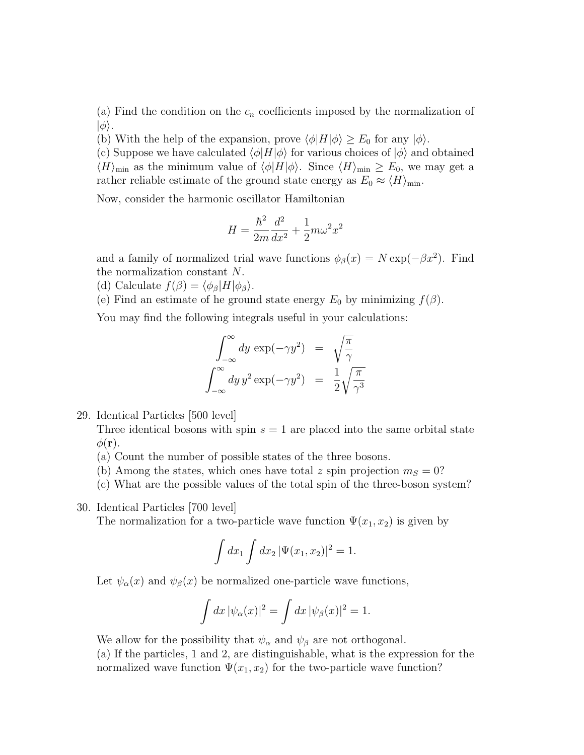(a) Find the condition on the  $c_n$  coefficients imposed by the normalization of  $|\phi\rangle$ .

(b) With the help of the expansion, prove  $\langle \phi | H | \phi \rangle \ge E_0$  for any  $|\phi \rangle$ .

(c) Suppose we have calculated  $\langle \phi | H | \phi \rangle$  for various choices of  $| \phi \rangle$  and obtained  $\langle H \rangle_{\text{min}}$  as the minimum value of  $\langle \phi | H | \phi \rangle$ . Since  $\langle H \rangle_{\text{min}} \ge E_0$ , we may get a rather reliable estimate of the ground state energy as  $E_0 \approx \langle H \rangle_{\text{min}}$ .

Now, consider the harmonic oscillator Hamiltonian

$$
H = \frac{\hbar^2}{2m}\frac{d^2}{dx^2} + \frac{1}{2}m\omega^2 x^2
$$

and a family of normalized trial wave functions  $\phi_{\beta}(x) = N \exp(-\beta x^2)$ . Find the normalization constant N.

- (d) Calculate  $f(\beta) = \langle \phi_\beta | H | \phi_\beta \rangle$ .
- (e) Find an estimate of he ground state energy  $E_0$  by minimizing  $f(\beta)$ .

You may find the following integrals useful in your calculations:

$$
\int_{-\infty}^{\infty} dy \exp(-\gamma y^2) = \sqrt{\frac{\pi}{\gamma}}
$$

$$
\int_{-\infty}^{\infty} dy \, y^2 \exp(-\gamma y^2) = \frac{1}{2} \sqrt{\frac{\pi}{\gamma^3}}
$$

29. Identical Particles [500 level]

Three identical bosons with spin  $s = 1$  are placed into the same orbital state  $\phi(\mathbf{r}).$ 

- (a) Count the number of possible states of the three bosons.
- (b) Among the states, which ones have total z spin projection  $m<sub>S</sub> = 0$ ?

(c) What are the possible values of the total spin of the three-boson system?

30. Identical Particles [700 level]

The normalization for a two-particle wave function  $\Psi(x_1, x_2)$  is given by

$$
\int dx_1 \int dx_2 \, |\Psi(x_1, x_2)|^2 = 1.
$$

Let  $\psi_{\alpha}(x)$  and  $\psi_{\beta}(x)$  be normalized one-particle wave functions,

$$
\int dx \, |\psi_{\alpha}(x)|^2 = \int dx \, |\psi_{\beta}(x)|^2 = 1.
$$

We allow for the possibility that  $\psi_{\alpha}$  and  $\psi_{\beta}$  are not orthogonal.

(a) If the particles, 1 and 2, are distinguishable, what is the expression for the normalized wave function  $\Psi(x_1, x_2)$  for the two-particle wave function?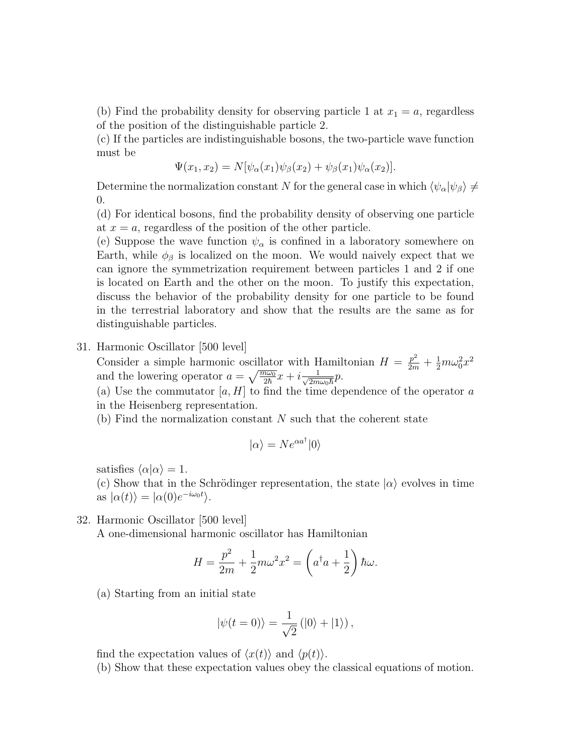(b) Find the probability density for observing particle 1 at  $x_1 = a$ , regardless of the position of the distinguishable particle 2.

(c) If the particles are indistinguishable bosons, the two-particle wave function must be

$$
\Psi(x_1, x_2) = N[\psi_{\alpha}(x_1)\psi_{\beta}(x_2) + \psi_{\beta}(x_1)\psi_{\alpha}(x_2)].
$$

Determine the normalization constant N for the general case in which  $\langle \psi_\alpha | \psi_\beta \rangle \neq 0$ 0.

(d) For identical bosons, find the probability density of observing one particle at  $x = a$ , regardless of the position of the other particle.

(e) Suppose the wave function  $\psi_{\alpha}$  is confined in a laboratory somewhere on Earth, while  $\phi_{\beta}$  is localized on the moon. We would naively expect that we can ignore the symmetrization requirement between particles 1 and 2 if one is located on Earth and the other on the moon. To justify this expectation, discuss the behavior of the probability density for one particle to be found in the terrestrial laboratory and show that the results are the same as for distinguishable particles.

#### 31. Harmonic Oscillator [500 level]

Consider a simple harmonic oscillator with Hamiltonian  $H = \frac{p^2}{2m} + \frac{1}{2}m\omega_0^2x^2$ and the lowering operator  $a = \sqrt{\frac{m\omega_0}{2\hbar}}x + i\frac{1}{\sqrt{2m}}$  $\frac{1}{2m\omega_0\hbar}p$ .

(a) Use the commutator  $[a, H]$  to find the time dependence of the operator  $a$ in the Heisenberg representation.

 $(b)$  Find the normalization constant N such that the coherent state

$$
|\alpha\rangle = N e^{\alpha a^\dagger} |0\rangle
$$

satisfies  $\langle \alpha | \alpha \rangle = 1$ .

(c) Show that in the Schrödinger representation, the state  $|\alpha\rangle$  evolves in time as  $|\alpha(t)\rangle = |\alpha(0)e^{-i\omega_0 t}\rangle$ .

32. Harmonic Oscillator [500 level]

A one-dimensional harmonic oscillator has Hamiltonian

$$
H = \frac{p^2}{2m} + \frac{1}{2}m\omega^2 x^2 = \left(a^{\dagger}a + \frac{1}{2}\right)\hbar\omega.
$$

(a) Starting from an initial state

$$
|\psi(t=0)\rangle = \frac{1}{\sqrt{2}} (|0\rangle + |1\rangle),
$$

find the expectation values of  $\langle x(t) \rangle$  and  $\langle p(t) \rangle$ .

(b) Show that these expectation values obey the classical equations of motion.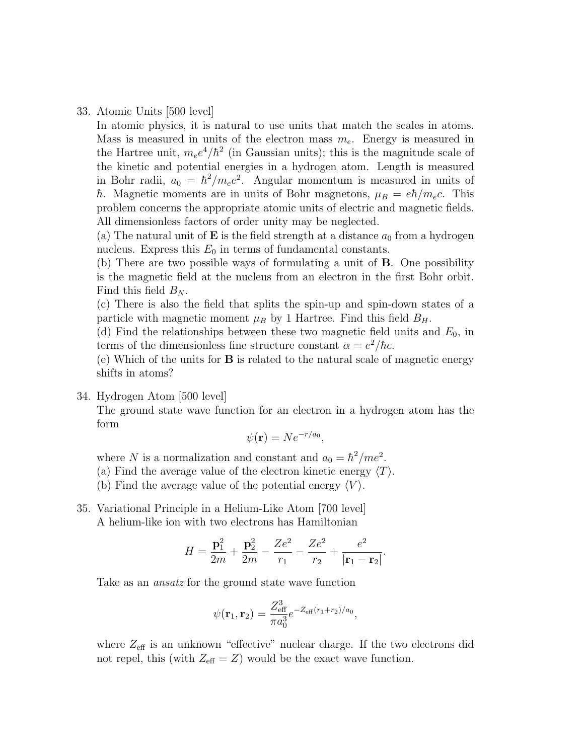33. Atomic Units [500 level]

In atomic physics, it is natural to use units that match the scales in atoms. Mass is measured in units of the electron mass  $m_e$ . Energy is measured in the Hartree unit,  $m_e e^4/\hbar^2$  (in Gaussian units); this is the magnitude scale of the kinetic and potential energies in a hydrogen atom. Length is measured in Bohr radii,  $a_0 = \hbar^2/m_e e^2$ . Angular momentum is measured in units of h. Magnetic moments are in units of Bohr magnetons,  $\mu_B = e\hbar/m_e c$ . This problem concerns the appropriate atomic units of electric and magnetic fields. All dimensionless factors of order unity may be neglected.

(a) The natural unit of **E** is the field strength at a distance  $a_0$  from a hydrogen nucleus. Express this  $E_0$  in terms of fundamental constants.

(b) There are two possible ways of formulating a unit of B. One possibility is the magnetic field at the nucleus from an electron in the first Bohr orbit. Find this field  $B_N$ .

(c) There is also the field that splits the spin-up and spin-down states of a particle with magnetic moment  $\mu_B$  by 1 Hartree. Find this field  $B_H$ .

(d) Find the relationships between these two magnetic field units and  $E_0$ , in terms of the dimensionless fine structure constant  $\alpha = e^2/\hbar c$ .

(e) Which of the units for B is related to the natural scale of magnetic energy shifts in atoms?

34. Hydrogen Atom [500 level]

The ground state wave function for an electron in a hydrogen atom has the form

$$
\psi(\mathbf{r}) = N e^{-r/a_0},
$$

where N is a normalization and constant and  $a_0 = \hbar^2$ /me<sup>2</sup>.

(a) Find the average value of the electron kinetic energy  $\langle T \rangle$ .

(b) Find the average value of the potential energy  $\langle V \rangle$ .

35. Variational Principle in a Helium-Like Atom [700 level] A helium-like ion with two electrons has Hamiltonian

$$
H = \frac{\mathbf{p}_1^2}{2m} + \frac{\mathbf{p}_2^2}{2m} - \frac{Ze^2}{r_1} - \frac{Ze^2}{r_2} + \frac{e^2}{|\mathbf{r}_1 - \mathbf{r}_2|}.
$$

Take as an ansatz for the ground state wave function

$$
\psi(\mathbf{r}_1, \mathbf{r}_2) = \frac{Z_{\text{eff}}^3}{\pi a_0^3} e^{-Z_{\text{eff}}(r_1 + r_2)/a_0},
$$

where  $Z_{\text{eff}}$  is an unknown "effective" nuclear charge. If the two electrons did not repel, this (with  $Z_{\text{eff}} = Z$ ) would be the exact wave function.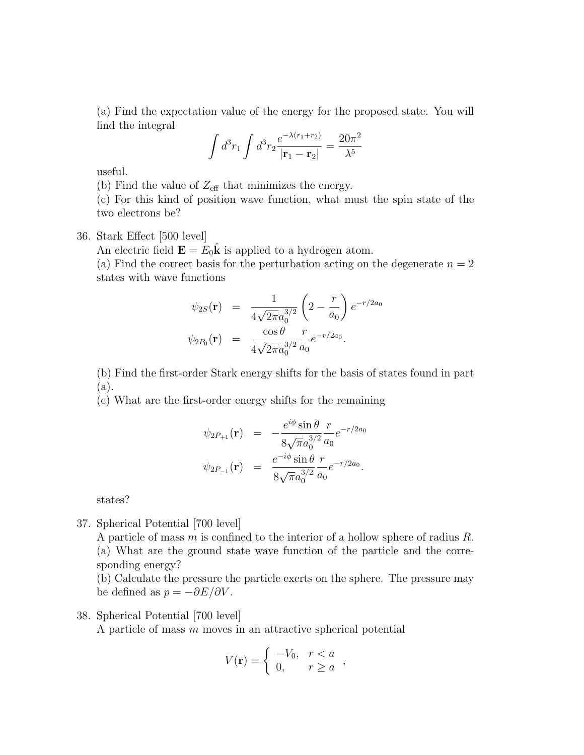(a) Find the expectation value of the energy for the proposed state. You will find the integral

$$
\int d^3 r_1 \int d^3 r_2 \frac{e^{-\lambda (r_1 + r_2)}}{|\mathbf{r}_1 - \mathbf{r}_2|} = \frac{20\pi^2}{\lambda^5}
$$

useful.

(b) Find the value of  $Z_{\text{eff}}$  that minimizes the energy.

(c) For this kind of position wave function, what must the spin state of the two electrons be?

36. Stark Effect [500 level]

An electric field  $\mathbf{E} = E_0 \mathbf{k}$  is applied to a hydrogen atom.

(a) Find the correct basis for the perturbation acting on the degenerate  $n = 2$ states with wave functions

$$
\psi_{2S}(\mathbf{r}) = \frac{1}{4\sqrt{2\pi}a_0^{3/2}} \left(2 - \frac{r}{a_0}\right)e^{-r/2a_0}
$$
  

$$
\psi_{2P_0}(\mathbf{r}) = \frac{\cos\theta}{4\sqrt{2\pi}a_0^{3/2}}\frac{r}{a_0}e^{-r/2a_0}.
$$

(b) Find the first-order Stark energy shifts for the basis of states found in part (a).

(c) What are the first-order energy shifts for the remaining

$$
\psi_{2P_{+1}}(\mathbf{r}) = -\frac{e^{i\phi}\sin\theta}{8\sqrt{\pi}a_0^{3/2}}\frac{r}{a_0}e^{-r/2a_0}
$$

$$
\psi_{2P_{-1}}(\mathbf{r}) = \frac{e^{-i\phi}\sin\theta}{8\sqrt{\pi}a_0^{3/2}}\frac{r}{a_0}e^{-r/2a_0}.
$$

states?

37. Spherical Potential [700 level]

A particle of mass m is confined to the interior of a hollow sphere of radius R. (a) What are the ground state wave function of the particle and the corresponding energy?

(b) Calculate the pressure the particle exerts on the sphere. The pressure may be defined as  $p = -\partial E/\partial V$ .

38. Spherical Potential [700 level]

A particle of mass  $m$  moves in an attractive spherical potential

$$
V(\mathbf{r}) = \begin{cases} -V_0, & r < a \\ 0, & r \ge a \end{cases}
$$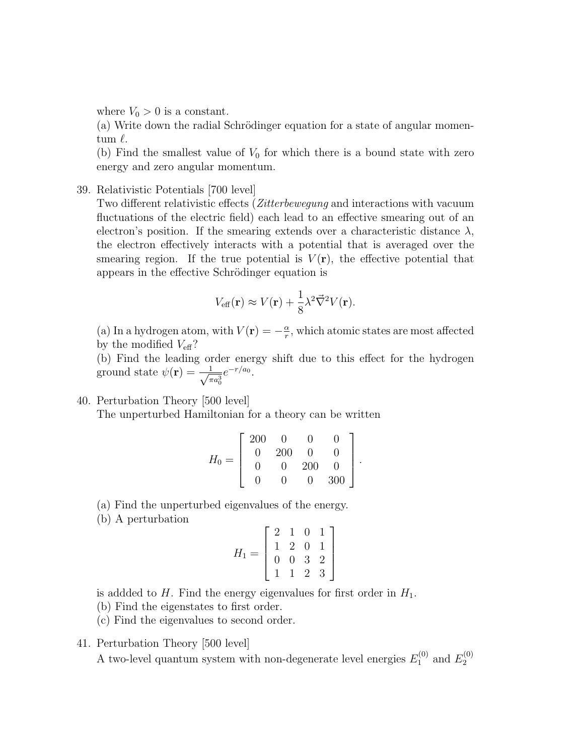where  $V_0 > 0$  is a constant.

 $(a)$  Write down the radial Schrödinger equation for a state of angular momentum  $\ell$ .

(b) Find the smallest value of  $V_0$  for which there is a bound state with zero energy and zero angular momentum.

39. Relativistic Potentials [700 level]

Two different relativistic effects (Zitterbewegung and interactions with vacuum fluctuations of the electric field) each lead to an effective smearing out of an electron's position. If the smearing extends over a characteristic distance  $\lambda$ , the electron effectively interacts with a potential that is averaged over the smearing region. If the true potential is  $V(\mathbf{r})$ , the effective potential that appears in the effective Schrödinger equation is

$$
V_{\text{eff}}(\mathbf{r}) \approx V(\mathbf{r}) + \frac{1}{8} \lambda^2 \vec{\nabla}^2 V(\mathbf{r}).
$$

(a) In a hydrogen atom, with  $V(\mathbf{r}) = -\frac{\alpha}{r}$  $\frac{\alpha}{r}$ , which atomic states are most affected by the modified  $V_{\text{eff}}$ ?

(b) Find the leading order energy shift due to this effect for the hydrogen ground state  $\psi(\mathbf{r}) = -\frac{1}{\sqrt{2}}$  $\frac{1}{\pi a_0^3} e^{-r/a_0}.$ 

40. Perturbation Theory [500 level]

The unperturbed Hamiltonian for a theory can be written

| $H_0$<br>$=$ | 200 | $\Omega$          |     |     |  |
|--------------|-----|-------------------|-----|-----|--|
|              |     | 200               | 0   |     |  |
|              |     | $\mathbf{\Omega}$ | 200 |     |  |
|              |     | ۱۱                | 0   | 300 |  |

.

(a) Find the unperturbed eigenvalues of the energy.

(b) A perturbation

$$
H_1 = \left[ \begin{array}{rrrr} 2 & 1 & 0 & 1 \\ 1 & 2 & 0 & 1 \\ 0 & 0 & 3 & 2 \\ 1 & 1 & 2 & 3 \end{array} \right]
$$

is addded to  $H$ . Find the energy eigenvalues for first order in  $H_1$ .

- (b) Find the eigenstates to first order.
- (c) Find the eigenvalues to second order.
- 41. Perturbation Theory [500 level]

A two-level quantum system with non-degenerate level energies  $E_1^{(0)}$  $E_1^{(0)}$  and  $E_2^{(0)}$ 2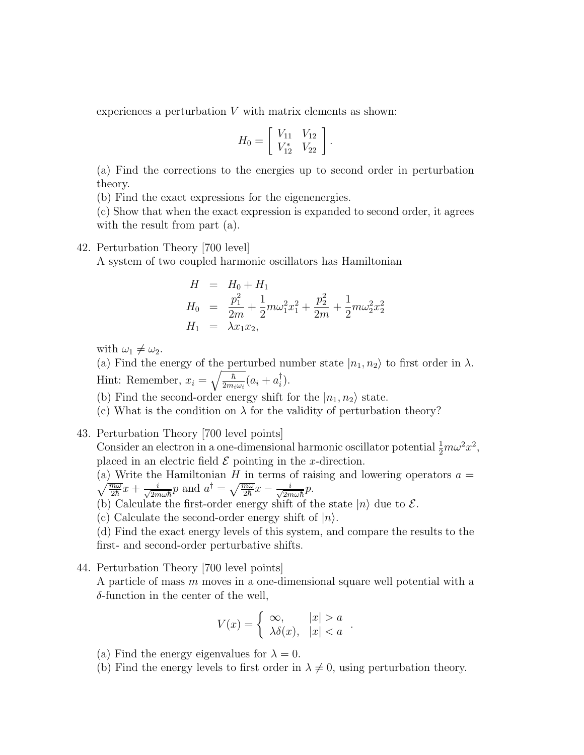experiences a perturbation  $V$  with matrix elements as shown:

$$
H_0 = \left[ \begin{array}{cc} V_{11} & V_{12} \\ V_{12}^* & V_{22} \end{array} \right].
$$

(a) Find the corrections to the energies up to second order in perturbation theory.

(b) Find the exact expressions for the eigenenergies.

(c) Show that when the exact expression is expanded to second order, it agrees with the result from part  $(a)$ .

#### 42. Perturbation Theory [700 level]

A system of two coupled harmonic oscillators has Hamiltonian

$$
H = H_0 + H_1
$$
  
\n
$$
H_0 = \frac{p_1^2}{2m} + \frac{1}{2}m\omega_1^2 x_1^2 + \frac{p_2^2}{2m} + \frac{1}{2}m\omega_2^2 x_2^2
$$
  
\n
$$
H_1 = \lambda x_1 x_2,
$$

with  $\omega_1 \neq \omega_2$ .

(a) Find the energy of the perturbed number state  $|n_1, n_2\rangle$  to first order in  $\lambda$ . Hint: Remember,  $x_i = \sqrt{\frac{\hbar}{2m_i}}$  $\frac{\hbar}{2m_i\omega_i}(a_i+a_i^\dagger)$  $\binom{1}{i}$ .

(b) Find the second-order energy shift for the  $|n_1, n_2\rangle$  state.

(c) What is the condition on  $\lambda$  for the validity of perturbation theory?

43. Perturbation Theory [700 level points]

Consider an electron in a one-dimensional harmonic oscillator potential  $\frac{1}{2}m\omega^2 x^2$ , placed in an electric field  $\mathcal E$  pointing in the x-direction.

(a) Write the Hamiltonian  $\sqrt{ }$ H in terms of raising and lowering operators  $a =$  $\overline{m}\omega$  $\frac{\overline{n\omega}}{2\hbar}x + \frac{i}{\sqrt{2n}}$  $\frac{i}{2m\omega\hbar}p$  and  $a^{\dagger}=\sqrt{\frac{m\omega}{2\hbar}}x-\frac{i}{\sqrt{2m}}$  $rac{i}{2m\omega\hbar}p$ .

(b) Calculate the first-order energy shift of the state  $|n\rangle$  due to  $\mathcal{E}$ .

(c) Calculate the second-order energy shift of  $|n\rangle$ .

(d) Find the exact energy levels of this system, and compare the results to the first- and second-order perturbative shifts.

44. Perturbation Theory [700 level points]

A particle of mass m moves in a one-dimensional square well potential with a  $\delta$ -function in the center of the well,

$$
V(x) = \begin{cases} \infty, & |x| > a \\ \lambda \delta(x), & |x| < a \end{cases}
$$

.

- (a) Find the energy eigenvalues for  $\lambda = 0$ .
- (b) Find the energy levels to first order in  $\lambda \neq 0$ , using perturbation theory.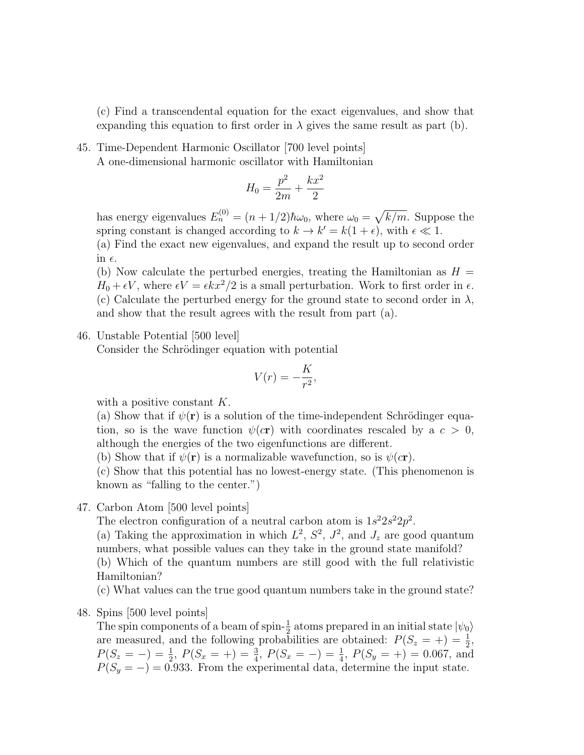(c) Find a transcendental equation for the exact eigenvalues, and show that expanding this equation to first order in  $\lambda$  gives the same result as part (b).

45. Time-Dependent Harmonic Oscillator [700 level points] A one-dimensional harmonic oscillator with Hamiltonian

$$
H_0 = \frac{p^2}{2m} + \frac{kx^2}{2}
$$

has energy eigenvalues  $E_n^{(0)} = (n + 1/2)\hbar\omega_0$ , where  $\omega_0 = \sqrt{k/m}$ . Suppose the spring constant is changed according to  $k \to k' = k(1 + \epsilon)$ , with  $\epsilon \ll 1$ .

(a) Find the exact new eigenvalues, and expand the result up to second order in  $\epsilon$ .

(b) Now calculate the perturbed energies, treating the Hamiltonian as  $H =$  $H_0 + \epsilon V$ , where  $\epsilon V = \epsilon kx^2/2$  is a small perturbation. Work to first order in  $\epsilon$ . (c) Calculate the perturbed energy for the ground state to second order in  $\lambda$ , and show that the result agrees with the result from part (a).

#### 46. Unstable Potential [500 level]

Consider the Schrödinger equation with potential

$$
V(r) = -\frac{K}{r^2},
$$

with a positive constant K.

(a) Show that if  $\psi(\mathbf{r})$  is a solution of the time-independent Schrödinger equation, so is the wave function  $\psi(\mathbf{cr})$  with coordinates rescaled by a  $c > 0$ , although the energies of the two eigenfunctions are different.

(b) Show that if  $\psi(\mathbf{r})$  is a normalizable wavefunction, so is  $\psi(c\mathbf{r})$ .

(c) Show that this potential has no lowest-energy state. (This phenomenon is known as "falling to the center.")

#### 47. Carbon Atom [500 level points]

The electron configuration of a neutral carbon atom is  $1s^22s^22p^2$ .

(a) Taking the approximation in which  $L^2$ ,  $S^2$ ,  $J^2$ , and  $J_z$  are good quantum numbers, what possible values can they take in the ground state manifold?

(b) Which of the quantum numbers are still good with the full relativistic Hamiltonian?

(c) What values can the true good quantum numbers take in the ground state?

48. Spins [500 level points]

The spin components of a beam of spin- $\frac{1}{2}$  atoms prepared in an initial state  $|\psi_0\rangle$ are measured, and the following probabilities are obtained:  $P(S_z = +) = \frac{1}{2}$ ,  $P(S_z = -) = \frac{1}{2}, P(S_x = +) = \frac{3}{4}, P(S_x = -) = \frac{1}{4}, P(S_y = +) = 0.067$ , and  $P(S_y = -) = 0.933$ . From the experimental data, determine the input state.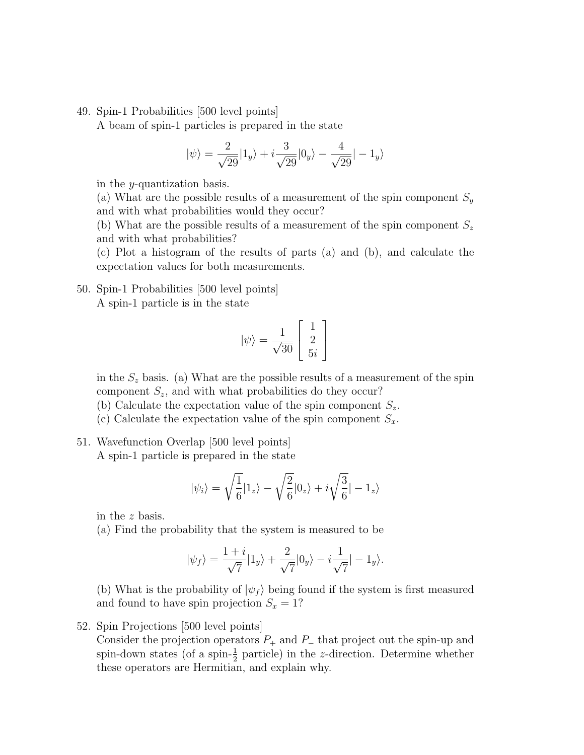49. Spin-1 Probabilities [500 level points]

A beam of spin-1 particles is prepared in the state

$$
|\psi\rangle = \frac{2}{\sqrt{29}}|1_y\rangle + i\frac{3}{\sqrt{29}}|0_y\rangle - \frac{4}{\sqrt{29}}| - 1_y\rangle
$$

in the y-quantization basis.

(a) What are the possible results of a measurement of the spin component  $S_y$ and with what probabilities would they occur?

(b) What are the possible results of a measurement of the spin component  $S_z$ and with what probabilities?

(c) Plot a histogram of the results of parts (a) and (b), and calculate the expectation values for both measurements.

50. Spin-1 Probabilities [500 level points] A spin-1 particle is in the state

$$
|\psi\rangle=\frac{1}{\sqrt{30}}\left[\begin{array}{c}1\\2\\5i\end{array}\right]
$$

in the  $S_z$  basis. (a) What are the possible results of a measurement of the spin component  $S_z$ , and with what probabilities do they occur?

(b) Calculate the expectation value of the spin component  $S_z$ .

(c) Calculate the expectation value of the spin component  $S_x$ .

51. Wavefunction Overlap [500 level points] A spin-1 particle is prepared in the state

$$
|\psi_i\rangle=\sqrt{\frac{1}{6}}|1_z\rangle-\sqrt{\frac{2}{6}}|0_z\rangle+i\sqrt{\frac{3}{6}}|-1_z\rangle
$$

in the z basis.

(a) Find the probability that the system is measured to be

$$
|\psi_f\rangle=\frac{1+i}{\sqrt{7}}|1_y\rangle+\frac{2}{\sqrt{7}}|0_y\rangle-i\frac{1}{\sqrt{7}}|-1_y\rangle.
$$

(b) What is the probability of  $|\psi_f\rangle$  being found if the system is first measured and found to have spin projection  $S_x = 1$ ?

52. Spin Projections [500 level points]

Consider the projection operators  $P_+$  and  $P_-$  that project out the spin-up and spin-down states (of a spin- $\frac{1}{2}$  particle) in the z-direction. Determine whether these operators are Hermitian, and explain why.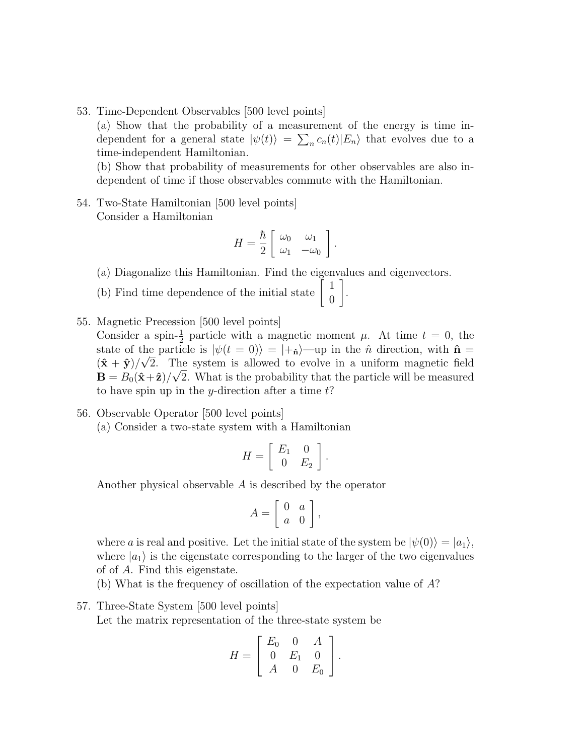53. Time-Dependent Observables [500 level points]

(a) Show that the probability of a measurement of the energy is time independent for a general state  $|\psi(t)\rangle = \sum_n c_n(t)|E_n\rangle$  that evolves due to a time-independent Hamiltonian.

(b) Show that probability of measurements for other observables are also independent of time if those observables commute with the Hamiltonian.

54. Two-State Hamiltonian [500 level points] Consider a Hamiltonian

$$
H = \frac{\hbar}{2} \left[ \begin{array}{cc} \omega_0 & \omega_1 \\ \omega_1 & -\omega_0 \end{array} \right].
$$

1 .

- (a) Diagonalize this Hamiltonian. Find the eigenvalues and eigenvectors.
- (b) Find time dependence of the initial state  $\begin{bmatrix} 1 \\ 0 \end{bmatrix}$ 0
- 55. Magnetic Precession [500 level points] Consider a spin- $\frac{1}{2}$  particle with a magnetic moment  $\mu$ . At time  $t = 0$ , the state of the particle is  $|\psi(t=0)\rangle = |+\hat{\mathbf{n}}\rangle$ —up in the  $\hat{n}$  direction, with  $\hat{\mathbf{n}} =$  $(\hat{\mathbf{x}} + \hat{\mathbf{y}})/\sqrt{2}$ . The system is allowed to evolve in a uniform magnetic field  $\mathbf{B} = B_0(\hat{\mathbf{x}} + \hat{\mathbf{z}})/\sqrt{2}$ . What is the probability that the particle will be measured to have spin up in the y-direction after a time  $t$ ?
- 56. Observable Operator [500 level points] (a) Consider a two-state system with a Hamiltonian

$$
H = \left[ \begin{array}{cc} E_1 & 0 \\ 0 & E_2 \end{array} \right].
$$

Another physical observable A is described by the operator

$$
A = \left[ \begin{array}{cc} 0 & a \\ a & 0 \end{array} \right],
$$

where a is real and positive. Let the initial state of the system be  $|\psi(0)\rangle = |a_1\rangle$ , where  $|a_1\rangle$  is the eigenstate corresponding to the larger of the two eigenvalues of of A. Find this eigenstate.

(b) What is the frequency of oscillation of the expectation value of A?

57. Three-State System [500 level points]

Let the matrix representation of the three-state system be

$$
H = \left[ \begin{array}{ccc} E_0 & 0 & A \\ 0 & E_1 & 0 \\ A & 0 & E_0 \end{array} \right].
$$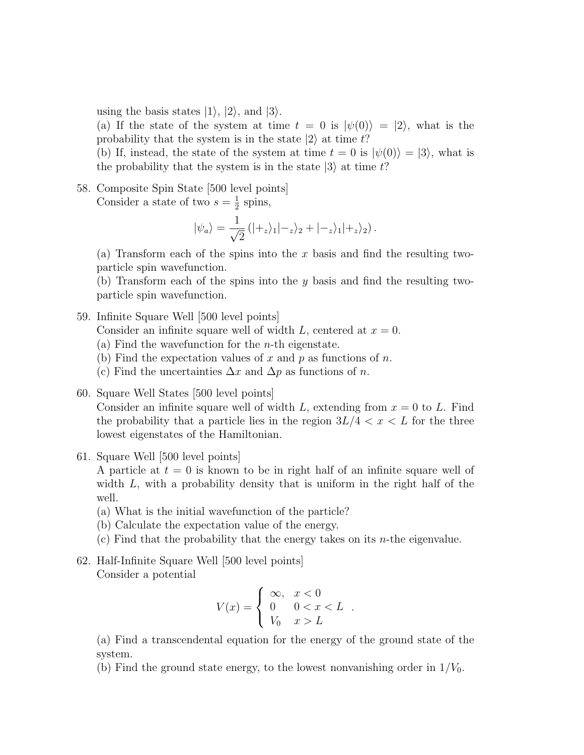using the basis states  $|1\rangle$ ,  $|2\rangle$ , and  $|3\rangle$ .

(a) If the state of the system at time  $t = 0$  is  $|\psi(0)\rangle = |2\rangle$ , what is the probability that the system is in the state  $|2\rangle$  at time t?

(b) If, instead, the state of the system at time  $t = 0$  is  $|\psi(0)\rangle = |3\rangle$ , what is the probability that the system is in the state  $|3\rangle$  at time t?

58. Composite Spin State [500 level points] Consider a state of two  $s=\frac{1}{2}$  $\frac{1}{2}$  spins,

$$
|\psi_a\rangle = \frac{1}{\sqrt{2}} (|+_z\rangle_1 |-_z\rangle_2 + |-_z\rangle_1 |+_z\rangle_2).
$$

(a) Transform each of the spins into the  $x$  basis and find the resulting twoparticle spin wavefunction.

(b) Transform each of the spins into the  $y$  basis and find the resulting twoparticle spin wavefunction.

#### 59. Infinite Square Well [500 level points]

Consider an infinite square well of width L, centered at  $x = 0$ .

- (a) Find the wavefunction for the *n*-th eigenstate.
- (b) Find the expectation values of x and p as functions of n.
- (c) Find the uncertainties  $\Delta x$  and  $\Delta p$  as functions of n.
- 60. Square Well States [500 level points]

Consider an infinite square well of width  $L$ , extending from  $x = 0$  to L. Find the probability that a particle lies in the region  $3L/4 < x < L$  for the three lowest eigenstates of the Hamiltonian.

#### 61. Square Well [500 level points]

A particle at  $t = 0$  is known to be in right half of an infinite square well of width  $L$ , with a probability density that is uniform in the right half of the well.

- (a) What is the initial wavefunction of the particle?
- (b) Calculate the expectation value of the energy.
- (c) Find that the probability that the energy takes on its n-the eigenvalue.

# 62. Half-Infinite Square Well [500 level points] Consider a potential

$$
V(x) = \begin{cases} \infty, & x < 0 \\ 0 & 0 < x < L \\ V_0 & x > L \end{cases}.
$$

(a) Find a transcendental equation for the energy of the ground state of the system.

(b) Find the ground state energy, to the lowest nonvanishing order in  $1/V_0$ .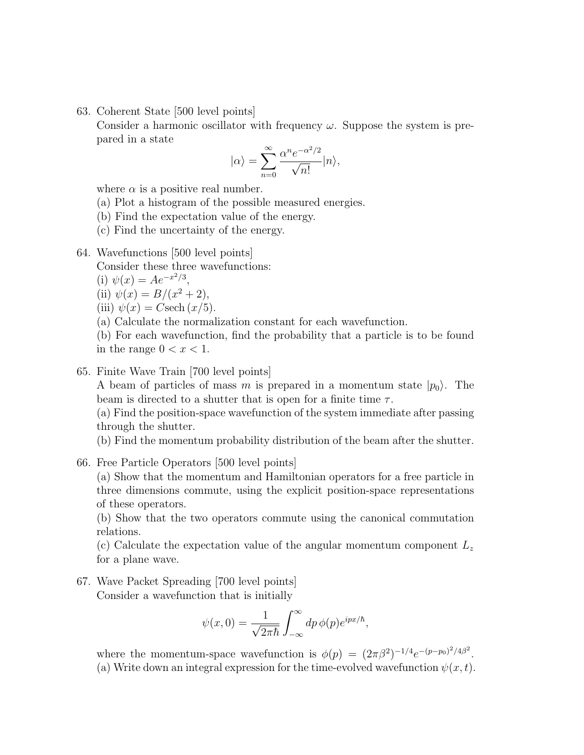63. Coherent State [500 level points]

Consider a harmonic oscillator with frequency  $\omega$ . Suppose the system is prepared in a state

$$
|\alpha\rangle=\sum_{n=0}^{\infty}\frac{\alpha^n e^{-\alpha^2/2}}{\sqrt{n!}}|n\rangle,
$$

where  $\alpha$  is a positive real number.

(a) Plot a histogram of the possible measured energies.

(b) Find the expectation value of the energy.

(c) Find the uncertainty of the energy.

64. Wavefunctions [500 level points]

Consider these three wavefunctions:

(i)  $\psi(x) = Ae^{-x^2/3}$ ,

(ii) 
$$
\psi(x) = B/(x^2 + 2),
$$

(iii)  $\psi(x) = C \text{sech}(x/5)$ .

(a) Calculate the normalization constant for each wavefunction.

(b) For each wavefunction, find the probability that a particle is to be found in the range  $0 < x < 1$ .

#### 65. Finite Wave Train [700 level points]

A beam of particles of mass m is prepared in a momentum state  $|p_0\rangle$ . The beam is directed to a shutter that is open for a finite time  $\tau$ .

(a) Find the position-space wavefunction of the system immediate after passing through the shutter.

(b) Find the momentum probability distribution of the beam after the shutter.

66. Free Particle Operators [500 level points]

(a) Show that the momentum and Hamiltonian operators for a free particle in three dimensions commute, using the explicit position-space representations of these operators.

(b) Show that the two operators commute using the canonical commutation relations.

(c) Calculate the expectation value of the angular momentum component  $L_z$ for a plane wave.

67. Wave Packet Spreading [700 level points] Consider a wavefunction that is initially

$$
\psi(x,0) = \frac{1}{\sqrt{2\pi\hbar}} \int_{-\infty}^{\infty} dp \, \phi(p) e^{ipx/\hbar},
$$

where the momentum-space wavefunction is  $\phi(p) = (2\pi\beta^2)^{-1/4}e^{-(p-p_0)^2/4\beta^2}$ . (a) Write down an integral expression for the time-evolved wavefunction  $\psi(x, t)$ .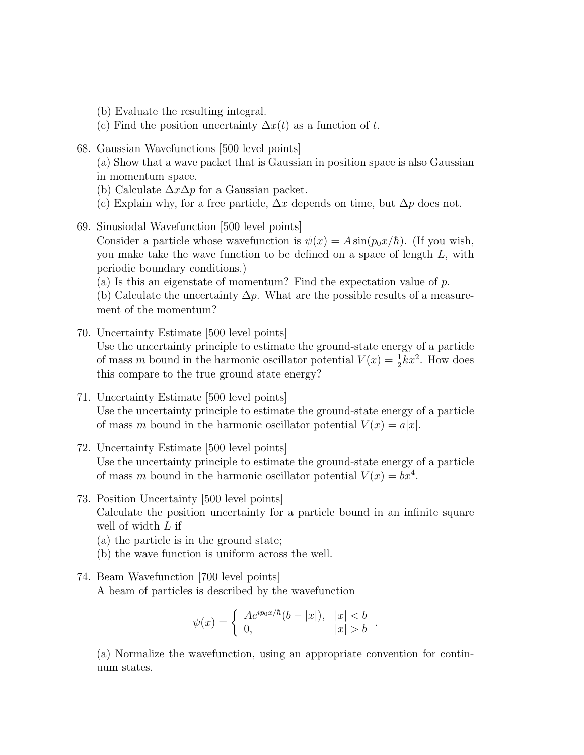- (b) Evaluate the resulting integral.
- (c) Find the position uncertainty  $\Delta x(t)$  as a function of t.
- 68. Gaussian Wavefunctions [500 level points]

(a) Show that a wave packet that is Gaussian in position space is also Gaussian in momentum space.

- (b) Calculate  $\Delta x \Delta p$  for a Gaussian packet.
- (c) Explain why, for a free particle,  $\Delta x$  depends on time, but  $\Delta p$  does not.
- 69. Sinusiodal Wavefunction [500 level points]

Consider a particle whose wavefunction is  $\psi(x) = A \sin(p_0 x/\hbar)$ . (If you wish, you make take the wave function to be defined on a space of length L, with periodic boundary conditions.)

(a) Is this an eigenstate of momentum? Find the expectation value of  $p$ .

(b) Calculate the uncertainty  $\Delta p$ . What are the possible results of a measurement of the momentum?

- 70. Uncertainty Estimate [500 level points] Use the uncertainty principle to estimate the ground-state energy of a particle of mass m bound in the harmonic oscillator potential  $V(x) = \frac{1}{2}kx^2$ . How does this compare to the true ground state energy?
- 71. Uncertainty Estimate [500 level points] Use the uncertainty principle to estimate the ground-state energy of a particle of mass m bound in the harmonic oscillator potential  $V(x) = a|x|$ .
- 72. Uncertainty Estimate [500 level points] Use the uncertainty principle to estimate the ground-state energy of a particle of mass m bound in the harmonic oscillator potential  $V(x) = bx^4$ .
- 73. Position Uncertainty [500 level points] Calculate the position uncertainty for a particle bound in an infinite square well of width  $L$  if
	- (a) the particle is in the ground state;
	- (b) the wave function is uniform across the well.
- 74. Beam Wavefunction [700 level points] A beam of particles is described by the wavefunction

$$
\psi(x) = \begin{cases} Ae^{ip_0 x/\hbar} (b - |x|), & |x| < b \\ 0, & |x| > b \end{cases}.
$$

(a) Normalize the wavefunction, using an appropriate convention for continuum states.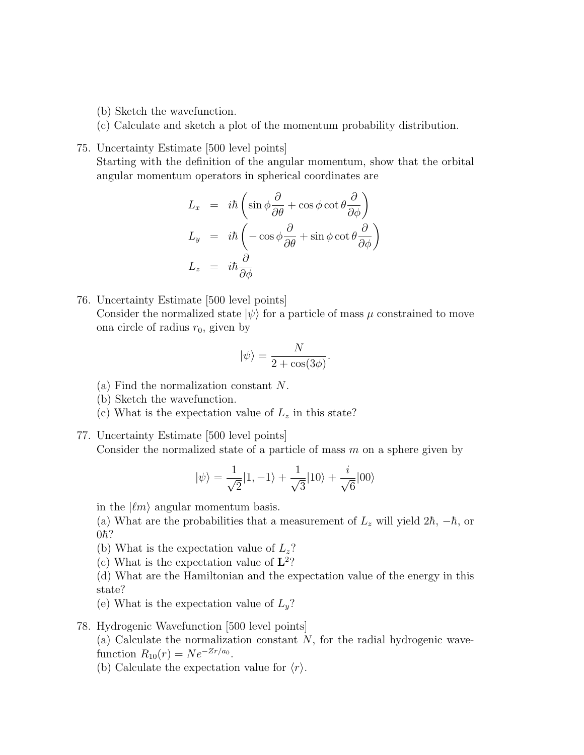- (b) Sketch the wavefunction.
- (c) Calculate and sketch a plot of the momentum probability distribution.
- 75. Uncertainty Estimate [500 level points]

Starting with the definition of the angular momentum, show that the orbital angular momentum operators in spherical coordinates are

$$
L_x = i\hbar \left( \sin \phi \frac{\partial}{\partial \theta} + \cos \phi \cot \theta \frac{\partial}{\partial \phi} \right)
$$
  
\n
$$
L_y = i\hbar \left( -\cos \phi \frac{\partial}{\partial \theta} + \sin \phi \cot \theta \frac{\partial}{\partial \phi} \right)
$$
  
\n
$$
L_z = i\hbar \frac{\partial}{\partial \phi}
$$

76. Uncertainty Estimate [500 level points] Consider the normalized state  $|\psi\rangle$  for a particle of mass  $\mu$  constrained to move ona circle of radius  $r_0$ , given by

$$
|\psi\rangle = \frac{N}{2 + \cos(3\phi)}.
$$

- (a) Find the normalization constant N.
- (b) Sketch the wavefunction.
- (c) What is the expectation value of  $L<sub>z</sub>$  in this state?
- 77. Uncertainty Estimate [500 level points] Consider the normalized state of a particle of mass  $m$  on a sphere given by

$$
|\psi\rangle=\frac{1}{\sqrt{2}}|1,-1\rangle+\frac{1}{\sqrt{3}}|10\rangle+\frac{i}{\sqrt{6}}|00\rangle
$$

in the  $|\ell m\rangle$  angular momentum basis.

(a) What are the probabilities that a measurement of  $L_z$  will yield  $2\hbar$ ,  $-\hbar$ , or  $0\hbar$ ?

- (b) What is the expectation value of  $L_z$ ?
- (c) What is the expectation value of  $\mathbf{L}^2$ ?

(d) What are the Hamiltonian and the expectation value of the energy in this state?

(e) What is the expectation value of  $L_y$ ?

78. Hydrogenic Wavefunction [500 level points]

(a) Calculate the normalization constant  $N$ , for the radial hydrogenic wavefunction  $R_{10}(r) = N e^{-Zr/a_0}$ .

(b) Calculate the expectation value for  $\langle r \rangle$ .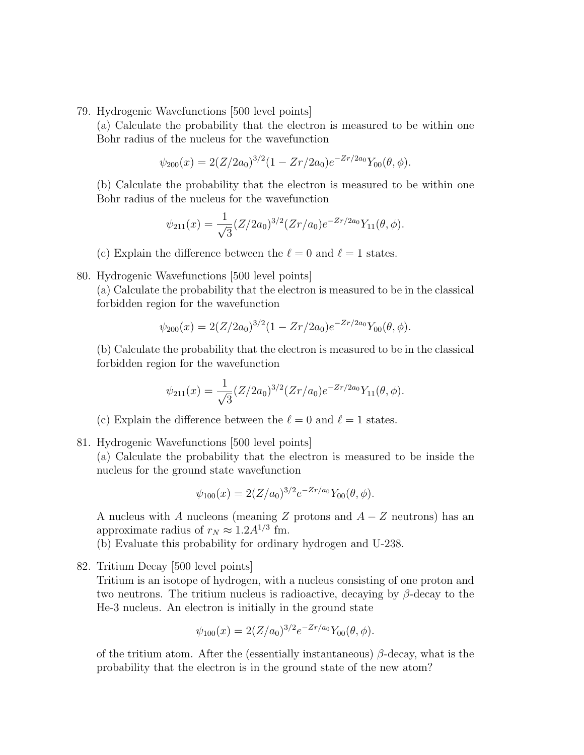79. Hydrogenic Wavefunctions [500 level points]

(a) Calculate the probability that the electron is measured to be within one Bohr radius of the nucleus for the wavefunction

$$
\psi_{200}(x) = 2(Z/2a_0)^{3/2}(1 - Zr/2a_0)e^{-Zr/2a_0}Y_{00}(\theta, \phi).
$$

(b) Calculate the probability that the electron is measured to be within one Bohr radius of the nucleus for the wavefunction

$$
\psi_{211}(x) = \frac{1}{\sqrt{3}} (Z/2a_0)^{3/2} (Zr/a_0) e^{-Zr/2a_0} Y_{11}(\theta, \phi).
$$

- (c) Explain the difference between the  $\ell = 0$  and  $\ell = 1$  states.
- 80. Hydrogenic Wavefunctions [500 level points]

(a) Calculate the probability that the electron is measured to be in the classical forbidden region for the wavefunction

$$
\psi_{200}(x) = 2(Z/2a_0)^{3/2}(1 - Zr/2a_0)e^{-Zr/2a_0}Y_{00}(\theta, \phi).
$$

(b) Calculate the probability that the electron is measured to be in the classical forbidden region for the wavefunction

$$
\psi_{211}(x) = \frac{1}{\sqrt{3}} (Z/2a_0)^{3/2} (Zr/a_0) e^{-Zr/2a_0} Y_{11}(\theta, \phi).
$$

- (c) Explain the difference between the  $\ell = 0$  and  $\ell = 1$  states.
- 81. Hydrogenic Wavefunctions [500 level points]

(a) Calculate the probability that the electron is measured to be inside the nucleus for the ground state wavefunction

$$
\psi_{100}(x) = 2(Z/a_0)^{3/2} e^{-Zr/a_0} Y_{00}(\theta, \phi).
$$

A nucleus with A nucleons (meaning Z protons and  $A - Z$  neutrons) has an approximate radius of  $r_N \approx 1.2 A^{1/3}$  fm.

(b) Evaluate this probability for ordinary hydrogen and U-238.

82. Tritium Decay [500 level points]

Tritium is an isotope of hydrogen, with a nucleus consisting of one proton and two neutrons. The tritium nucleus is radioactive, decaying by  $\beta$ -decay to the He-3 nucleus. An electron is initially in the ground state

$$
\psi_{100}(x) = 2(Z/a_0)^{3/2} e^{-Zr/a_0} Y_{00}(\theta, \phi).
$$

of the tritium atom. After the (essentially instantaneous)  $\beta$ -decay, what is the probability that the electron is in the ground state of the new atom?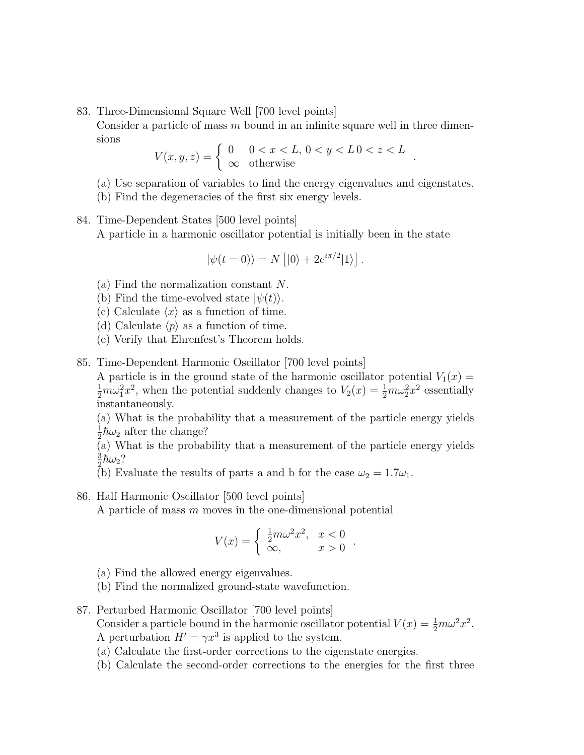83. Three-Dimensional Square Well [700 level points]

Consider a particle of mass  $m$  bound in an infinite square well in three dimensions

$$
V(x, y, z) = \begin{cases} 0 & 0 < x < L, \, 0 < y < L \, 0 < z < L \\ \infty & \text{otherwise} \end{cases}
$$

- (a) Use separation of variables to find the energy eigenvalues and eigenstates.
- (b) Find the degeneracies of the first six energy levels.
- 84. Time-Dependent States [500 level points]

A particle in a harmonic oscillator potential is initially been in the state

$$
|\psi(t=0)\rangle = N [|0\rangle + 2e^{i\pi/2}|1\rangle].
$$

- (a) Find the normalization constant N.
- (b) Find the time-evolved state  $|\psi(t)\rangle$ .
- (c) Calculate  $\langle x \rangle$  as a function of time.
- (d) Calculate  $\langle p \rangle$  as a function of time.
- (e) Verify that Ehrenfest's Theorem holds.
- 85. Time-Dependent Harmonic Oscillator [700 level points]

A particle is in the ground state of the harmonic oscillator potential  $V_1(x) =$  $\frac{1}{2}m\omega_1^2x^2$ , when the potential suddenly changes to  $V_2(x) = \frac{1}{2}m\omega_2^2x^2$  essentially instantaneously.

(a) What is the probability that a measurement of the particle energy yields 1  $\frac{1}{2}\hbar\omega_2$  after the change?

(a) What is the probability that a measurement of the particle energy yields 3  $\frac{3}{2}\hbar\omega_2$ ?

(b) Evaluate the results of parts a and b for the case  $\omega_2 = 1.7\omega_1$ .

86. Half Harmonic Oscillator [500 level points]

A particle of mass m moves in the one-dimensional potential

$$
V(x) = \begin{cases} \frac{1}{2}m\omega^2 x^2, & x < 0\\ \infty, & x > 0 \end{cases}
$$

.

- (a) Find the allowed energy eigenvalues.
- (b) Find the normalized ground-state wavefunction.
- 87. Perturbed Harmonic Oscillator [700 level points] Consider a particle bound in the harmonic oscillator potential  $V(x) = \frac{1}{2}m\omega^2 x^2$ .
	- A perturbation  $H' = \gamma x^3$  is applied to the system. (a) Calculate the first-order corrections to the eigenstate energies.
	- (b) Calculate the second-order corrections to the energies for the first three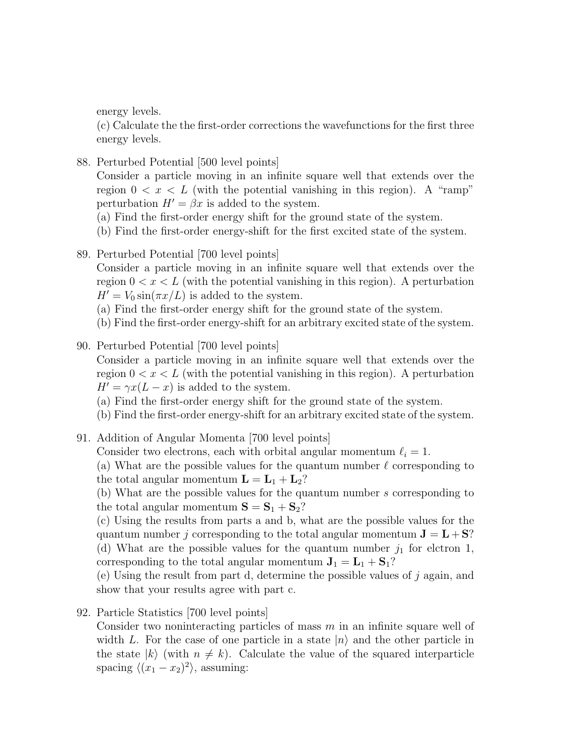energy levels.

(c) Calculate the the first-order corrections the wavefunctions for the first three energy levels.

88. Perturbed Potential [500 level points]

Consider a particle moving in an infinite square well that extends over the region  $0 < x < L$  (with the potential vanishing in this region). A "ramp" perturbation  $H' = \beta x$  is added to the system.

- (a) Find the first-order energy shift for the ground state of the system.
- (b) Find the first-order energy-shift for the first excited state of the system.
- 89. Perturbed Potential [700 level points]

Consider a particle moving in an infinite square well that extends over the region  $0 < x < L$  (with the potential vanishing in this region). A perturbation  $H' = V_0 \sin(\pi x/L)$  is added to the system.

(a) Find the first-order energy shift for the ground state of the system.

- (b) Find the first-order energy-shift for an arbitrary excited state of the system.
- 90. Perturbed Potential [700 level points]

Consider a particle moving in an infinite square well that extends over the region  $0 < x < L$  (with the potential vanishing in this region). A perturbation  $H' = \gamma x(L - x)$  is added to the system.

(a) Find the first-order energy shift for the ground state of the system.

- (b) Find the first-order energy-shift for an arbitrary excited state of the system.
- 91. Addition of Angular Momenta [700 level points]

Consider two electrons, each with orbital angular momentum  $\ell_i = 1$ .

(a) What are the possible values for the quantum number  $\ell$  corresponding to the total angular momentum  $\mathbf{L} = \mathbf{L}_1 + \mathbf{L}_2?$ 

(b) What are the possible values for the quantum number s corresponding to the total angular momentum  $S = S_1 + S_2$ ?

(c) Using the results from parts a and b, what are the possible values for the quantum number j corresponding to the total angular momentum  $J = L + S$ ? (d) What are the possible values for the quantum number  $j_1$  for elctron 1, corresponding to the total angular momentum  $J_1 = L_1 + S_1$ ?

(e) Using the result from part d, determine the possible values of  $j$  again, and show that your results agree with part c.

92. Particle Statistics [700 level points]

Consider two noninteracting particles of mass  $m$  in an infinite square well of width L. For the case of one particle in a state  $|n\rangle$  and the other particle in the state  $|k\rangle$  (with  $n \neq k$ ). Calculate the value of the squared interparticle spacing  $\langle (x_1 - x_2)^2 \rangle$ , assuming: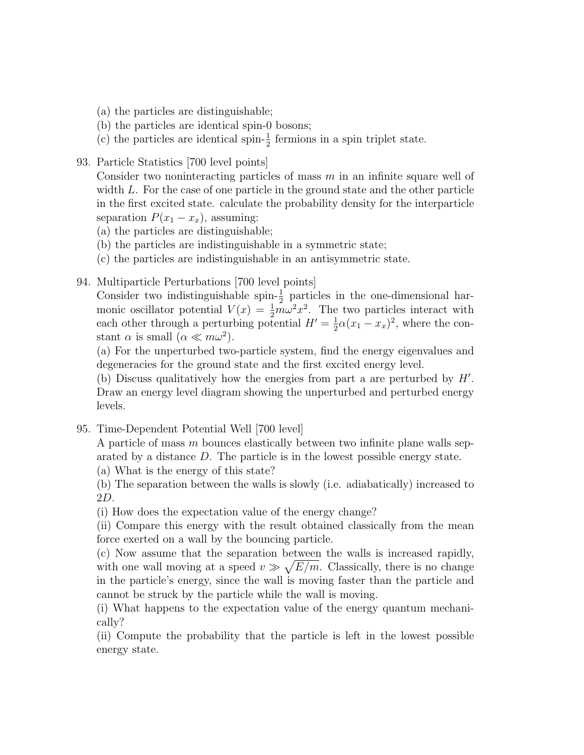- (a) the particles are distinguishable;
- (b) the particles are identical spin-0 bosons;
- (c) the particles are identical spin- $\frac{1}{2}$  fermions in a spin triplet state.
- 93. Particle Statistics [700 level points]

Consider two noninteracting particles of mass  $m$  in an infinite square well of width L. For the case of one particle in the ground state and the other particle in the first excited state. calculate the probability density for the interparticle separation  $P(x_1 - x_x)$ , assuming:

- (a) the particles are distinguishable;
- (b) the particles are indistinguishable in a symmetric state;
- (c) the particles are indistinguishable in an antisymmetric state.
- 94. Multiparticle Perturbations [700 level points]

Consider two indistinguishable spin- $\frac{1}{2}$  particles in the one-dimensional harmonic oscillator potential  $V(x) = \frac{1}{2}m\omega^2 x^2$ . The two particles interact with each other through a perturbing potential  $H' = \frac{1}{2}$  $\frac{1}{2}\alpha(x_1-x_x)^2$ , where the constant  $\alpha$  is small  $(\alpha \ll m\omega^2)$ .

(a) For the unperturbed two-particle system, find the energy eigenvalues and degeneracies for the ground state and the first excited energy level.

(b) Discuss qualitatively how the energies from part a are perturbed by  $H'$ . Draw an energy level diagram showing the unperturbed and perturbed energy levels.

95. Time-Dependent Potential Well [700 level]

A particle of mass m bounces elastically between two infinite plane walls separated by a distance D. The particle is in the lowest possible energy state.

(a) What is the energy of this state?

(b) The separation between the walls is slowly (i.e. adiabatically) increased to 2D.

(i) How does the expectation value of the energy change?

(ii) Compare this energy with the result obtained classically from the mean force exerted on a wall by the bouncing particle.

(c) Now assume that the separation between the walls is increased rapidly, with one wall moving at a speed  $v \gg \sqrt{E/m}$ . Classically, there is no change in the particle's energy, since the wall is moving faster than the particle and cannot be struck by the particle while the wall is moving.

(i) What happens to the expectation value of the energy quantum mechanically?

(ii) Compute the probability that the particle is left in the lowest possible energy state.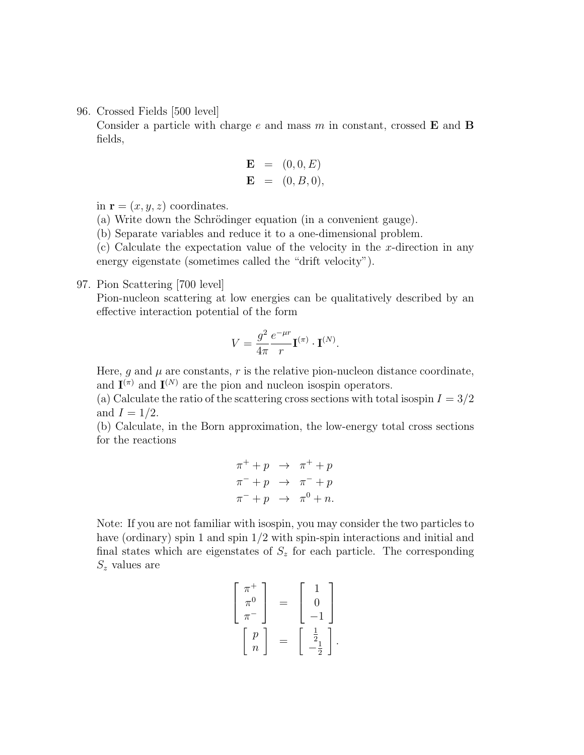96. Crossed Fields [500 level]

Consider a particle with charge  $e$  and mass  $m$  in constant, crossed **E** and **B** fields,

$$
\begin{array}{rcl} \mathbf{E} & = & (0,0,E) \\ \mathbf{E} & = & (0,B,0), \end{array}
$$

in  $\mathbf{r} = (x, y, z)$  coordinates.

(a) Write down the Schrödinger equation (in a convenient gauge).

(b) Separate variables and reduce it to a one-dimensional problem.

 $(c)$  Calculate the expectation value of the velocity in the x-direction in any energy eigenstate (sometimes called the "drift velocity").

#### 97. Pion Scattering [700 level]

Pion-nucleon scattering at low energies can be qualitatively described by an effective interaction potential of the form

$$
V = \frac{g^2}{4\pi} \frac{e^{-\mu r}}{r} \mathbf{I}^{(\pi)} \cdot \mathbf{I}^{(N)}.
$$

Here, g and  $\mu$  are constants, r is the relative pion-nucleon distance coordinate, and  $I^{(\pi)}$  and  $I^{(N)}$  are the pion and nucleon isospin operators.

(a) Calculate the ratio of the scattering cross sections with total isospin  $I = 3/2$ and  $I = 1/2$ .

(b) Calculate, in the Born approximation, the low-energy total cross sections for the reactions

$$
\begin{array}{rcl}\n\pi^+ + p & \to & \pi^+ + p \\
\pi^- + p & \to & \pi^- + p \\
\pi^- + p & \to & \pi^0 + n.\n\end{array}
$$

Note: If you are not familiar with isospin, you may consider the two particles to have (ordinary) spin 1 and spin  $1/2$  with spin-spin interactions and initial and final states which are eigenstates of  $S<sub>z</sub>$  for each particle. The corresponding  $S_z$  values are

$$
\begin{bmatrix} \pi^+ \\ \pi^0 \\ \pi^- \end{bmatrix} = \begin{bmatrix} 1 \\ 0 \\ -1 \end{bmatrix}
$$

$$
\begin{bmatrix} p \\ n \end{bmatrix} = \begin{bmatrix} \frac{1}{2} \\ -\frac{1}{2} \end{bmatrix}.
$$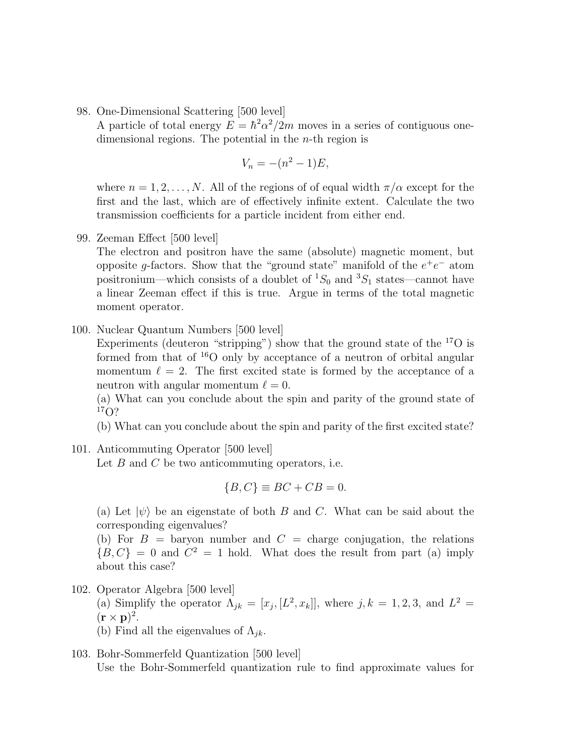98. One-Dimensional Scattering [500 level]

A particle of total energy  $E = \hbar^2 \alpha^2 / 2m$  moves in a series of contiguous onedimensional regions. The potential in the  $n$ -th region is

$$
V_n = -(n^2 - 1)E,
$$

where  $n = 1, 2, \ldots, N$ . All of the regions of of equal width  $\pi/\alpha$  except for the first and the last, which are of effectively infinite extent. Calculate the two transmission coefficients for a particle incident from either end.

99. Zeeman Effect [500 level]

The electron and positron have the same (absolute) magnetic moment, but opposite g-factors. Show that the "ground state" manifold of the  $e^+e^-$  atom positronium—which consists of a doublet of  ${}^{1}S_{0}$  and  ${}^{3}S_{1}$  states—cannot have a linear Zeeman effect if this is true. Argue in terms of the total magnetic moment operator.

100. Nuclear Quantum Numbers [500 level]

Experiments (deuteron "stripping") show that the ground state of the  $^{17}O$  is formed from that of  $^{16}O$  only by acceptance of a neutron of orbital angular momentum  $\ell = 2$ . The first excited state is formed by the acceptance of a neutron with angular momentum  $\ell = 0$ .

(a) What can you conclude about the spin and parity of the ground state of  $17O$ ?

(b) What can you conclude about the spin and parity of the first excited state?

101. Anticommuting Operator [500 level]

Let  $B$  and  $C$  be two anticommuting operators, i.e.

$$
\{B, C\} \equiv BC + CB = 0.
$$

(a) Let  $|\psi\rangle$  be an eigenstate of both B and C. What can be said about the corresponding eigenvalues?

(b) For  $B =$  baryon number and  $C =$  charge conjugation, the relations  ${B, C} = 0$  and  $C^2 = 1$  hold. What does the result from part (a) imply about this case?

102. Operator Algebra [500 level]

(a) Simplify the operator  $\Lambda_{jk} = [x_j, [L^2, x_k]]$ , where  $j, k = 1, 2, 3$ , and  $L^2 =$  $({\bf r}\times{\bf p})^2.$ 

- (b) Find all the eigenvalues of  $\Lambda_{ik}$ .
- 103. Bohr-Sommerfeld Quantization [500 level] Use the Bohr-Sommerfeld quantization rule to find approximate values for